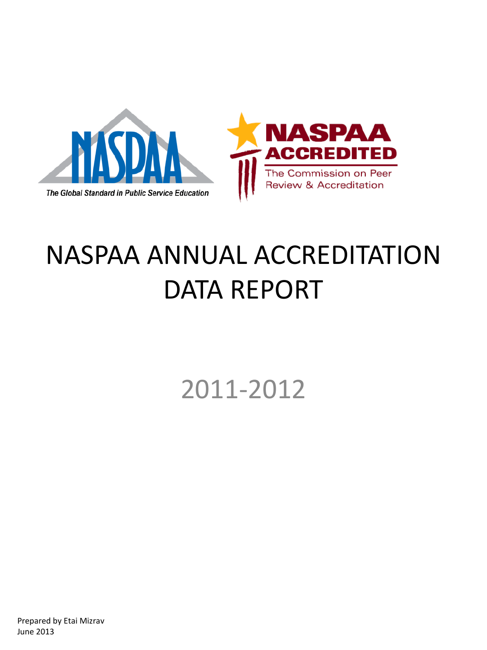

# NASPAA ANNUAL ACCREDITATION DATA REPORT

2011-2012

Prepared by Etai Mizrav June 2013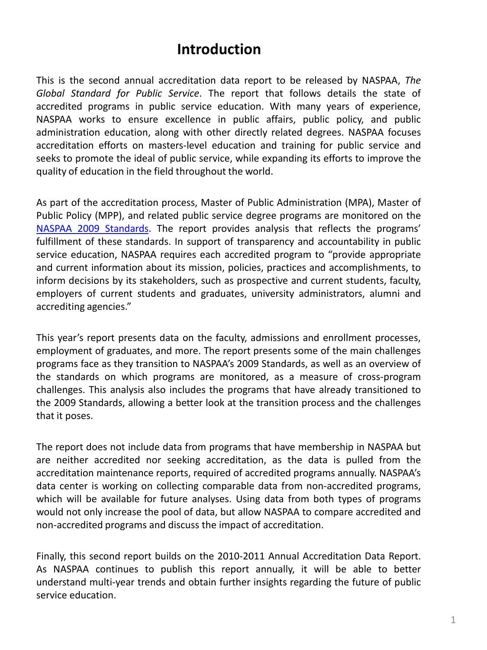### **Introduction**

This is the second annual accreditation data report to be released by NASPAA, *The Global Standard for Public Service*. The report that follows details the state of accredited programs in public service education. With many years of experience, NASPAA works to ensure excellence in public affairs, public policy, and public administration education, along with other directly related degrees. NASPAA focuses accreditation efforts on masters-level education and training for public service and seeks to promote the ideal of public service, while expanding its efforts to improve the quality of education in the field throughout the world.

As part of the accreditation process, Master of Public Administration (MPA), Master of Public Policy (MPP), and related public service degree programs are monitored on the NASPAA 2009 [Standards.](http://www.naspaa.org/accreditation/NS/naspaastandards.asp) The report provides analysis that reflects the programs' fulfillment of these standards. In support of transparency and accountability in public service education, NASPAA requires each accredited program to "provide appropriate and current information about its mission, policies, practices and accomplishments, to inform decisions by its stakeholders, such as prospective and current students, faculty, employers of current students and graduates, university administrators, alumni and accrediting agencies."

This year's report presents data on the faculty, admissions and enrollment processes, employment of graduates, and more. The report presents some of the main challenges programs face as they transition to NASPAA's 2009 Standards, as well as an overview of the standards on which programs are monitored, as a measure of cross-program challenges. This analysis also includes the programs that have already transitioned to the 2009 Standards, allowing a better look at the transition process and the challenges that it poses.

The report does not include data from programs that have membership in NASPAA but are neither accredited nor seeking accreditation, as the data is pulled from the accreditation maintenance reports, required of accredited programs annually. NASPAA's data center is working on collecting comparable data from non-accredited programs, which will be available for future analyses. Using data from both types of programs would not only increase the pool of data, but allow NASPAA to compare accredited and non-accredited programs and discuss the impact of accreditation.

Finally, this second report builds on the 2010-2011 Annual Accreditation Data Report. As NASPAA continues to publish this report annually, it will be able to better understand multi-year trends and obtain further insights regarding the future of public service education.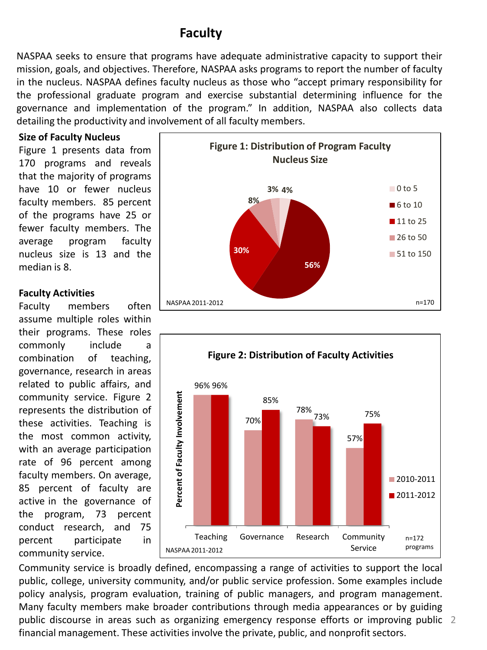### **Faculty**

NASPAA seeks to ensure that programs have adequate administrative capacity to support their mission, goals, and objectives. Therefore, NASPAA asks programs to report the number of faculty in the nucleus. NASPAA defines faculty nucleus as those who "accept primary responsibility for the professional graduate program and exercise substantial determining influence for the governance and implementation of the program." In addition, NASPAA also collects data detailing the productivity and involvement of all faculty members.

### **Size of Faculty Nucleus**

Figure 1 presents data from 170 programs and reveals that the majority of programs have 10 or fewer nucleus faculty members. 85 percent of the programs have 25 or fewer faculty members. The average program faculty nucleus size is 13 and the median is 8.

### **Faculty Activities**

Faculty members often assume multiple roles within their programs. These roles commonly include a combination of teaching, governance, research in areas related to public affairs, and community service. Figure 2 represents the distribution of these activities. Teaching is the most common activity, with an average participation rate of 96 percent among faculty members. On average, 85 percent of faculty are active in the governance of the program, 73 percent conduct research, and 75 percent participate in community service.





2 public discourse in areas such as organizing emergency response efforts or improving public Community service is broadly defined, encompassing a range of activities to support the local public, college, university community, and/or public service profession. Some examples include policy analysis, program evaluation, training of public managers, and program management. Many faculty members make broader contributions through media appearances or by guiding financial management. These activities involve the private, public, and nonprofit sectors.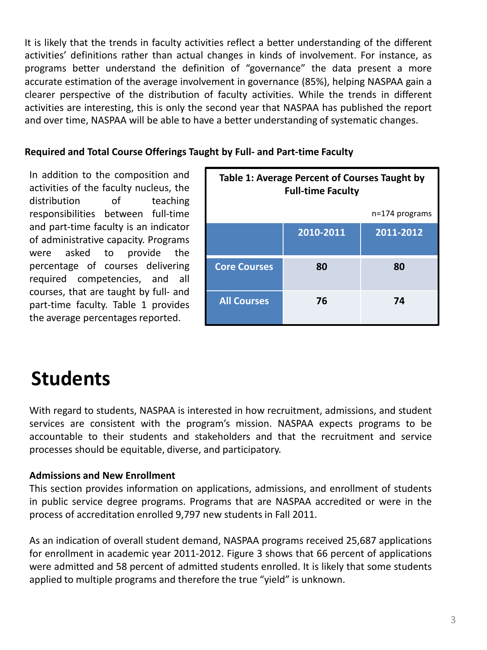It is likely that the trends in faculty activities reflect a better understanding of the different activities' definitions rather than actual changes in kinds of involvement. For instance, as programs better understand the definition of "governance" the data present a more accurate estimation of the average involvement in governance (85%), helping NASPAA gain a clearer perspective of the distribution of faculty activities. While the trends in different activities are interesting, this is only the second year that NASPAA has published the report and over time, NASPAA will be able to have a better understanding of systematic changes.

### **Required and Total Course Offerings Taught by Full- and Part-time Faculty**

In addition to the composition and activities of the faculty nucleus, the distribution of teaching responsibilities between full-time and part-time faculty is an indicator of administrative capacity. Programs were asked to provide the percentage of courses delivering required competencies, and all courses, that are taught by full- and part-time faculty. Table 1 provides the average percentages reported.

| Table 1: Average Percent of Courses Taught by<br><b>Full-time Faculty</b> |           |                  |
|---------------------------------------------------------------------------|-----------|------------------|
|                                                                           |           | $n=174$ programs |
|                                                                           | 2010-2011 | 2011-2012        |
| <b>Core Courses</b>                                                       | 80        | 80               |
| <b>All Courses</b>                                                        | 76        | 74               |

### **Students**

With regard to students, NASPAA is interested in how recruitment, admissions, and student services are consistent with the program's mission. NASPAA expects programs to be accountable to their students and stakeholders and that the recruitment and service processes should be equitable, diverse, and participatory.

### **Admissions and New Enrollment**

This section provides information on applications, admissions, and enrollment of students in public service degree programs. Programs that are NASPAA accredited or were in the process of accreditation enrolled 9,797 new students in Fall 2011.

As an indication of overall student demand, NASPAA programs received 25,687 applications for enrollment in academic year 2011-2012. Figure 3 shows that 66 percent of applications were admitted and 58 percent of admitted students enrolled. It is likely that some students applied to multiple programs and therefore the true "yield" is unknown.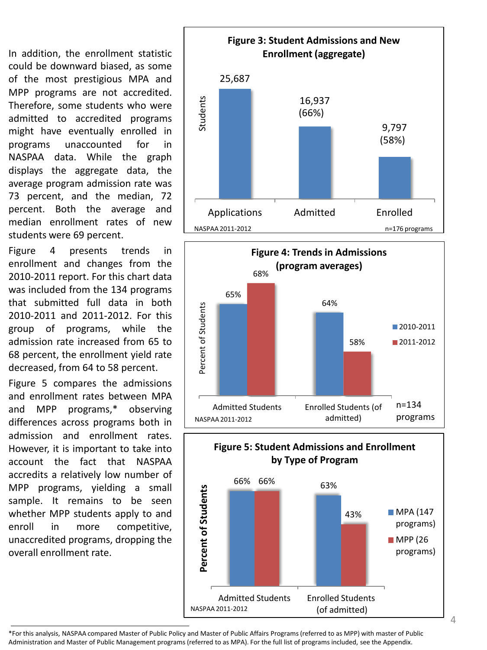In addition, the enrollment statistic could be downward biased, as some of the most prestigious MPA and MPP programs are not accredited. Therefore, some students who were admitted to accredited programs might have eventually enrolled in programs unaccounted for in NASPAA data. While the graph displays the aggregate data, the average program admission rate was 73 percent, and the median, 72 percent. Both the average and median enrollment rates of new students were 69 percent.

Figure 4 presents trends in enrollment and changes from the 2010-2011 report. For this chart data was included from the 134 programs that submitted full data in both 2010-2011 and 2011-2012. For this group of programs, while the admission rate increased from 65 to 68 percent, the enrollment yield rate decreased, from 64 to 58 percent.

Figure 5 compares the admissions and enrollment rates between MPA and MPP programs,\* observing differences across programs both in admission and enrollment rates. However, it is important to take into account the fact that NASPAA accredits a relatively low number of MPP programs, yielding a small sample. It remains to be seen whether MPP students apply to and enroll in more competitive, unaccredited programs, dropping the overall enrollment rate.







\*For this analysis, NASPAA compared Master of Public Policy and Master of Public Affairs Programs (referred to as MPP) with master of Public Administration and Master of Public Management programs (referred to as MPA). For the full list of programs included, see the Appendix.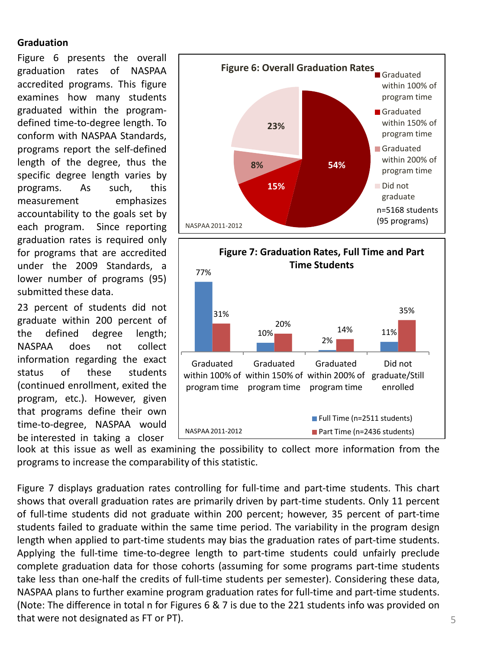### **Graduation**

Figure 6 presents the overall graduation rates of NASPAA accredited programs. This figure examines how many students graduated within the programdefined time-to-degree length. To conform with NASPAA Standards, programs report the self-defined length of the degree, thus the specific degree length varies by programs. As such, this measurement emphasizes accountability to the goals set by each program. Since reporting graduation rates is required only for programs that are accredited under the 2009 Standards, a lower number of programs (95) submitted these data.

23 percent of students did not graduate within 200 percent of the defined degree length; NASPAA does not collect information regarding the exact status of these students (continued enrollment, exited the program, etc.). However, given that programs define their own time-to-degree, NASPAA would be interested in taking a closer





look at this issue as well as examining the possibility to collect more information from the programs to increase the comparability of this statistic.

Figure 7 displays graduation rates controlling for full-time and part-time students. This chart shows that overall graduation rates are primarily driven by part-time students. Only 11 percent of full-time students did not graduate within 200 percent; however, 35 percent of part-time students failed to graduate within the same time period. The variability in the program design length when applied to part-time students may bias the graduation rates of part-time students. Applying the full-time time-to-degree length to part-time students could unfairly preclude complete graduation data for those cohorts (assuming for some programs part-time students take less than one-half the credits of full-time students per semester). Considering these data, NASPAA plans to further examine program graduation rates for full-time and part-time students. (Note: The difference in total n for Figures 6 & 7 is due to the 221 students info was provided on that were not designated as FT or PT).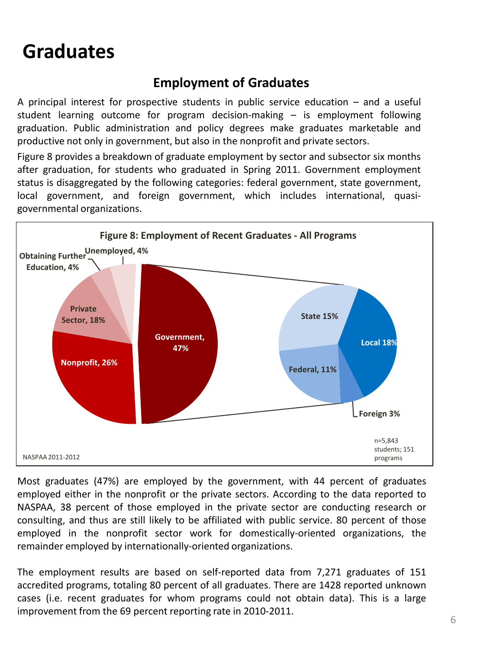## **Graduates**

### **Employment of Graduates**

A principal interest for prospective students in public service education – and a useful student learning outcome for program decision-making – is employment following graduation. Public administration and policy degrees make graduates marketable and productive not only in government, but also in the nonprofit and private sectors.

Figure 8 provides a breakdown of graduate employment by sector and subsector six months after graduation, for students who graduated in Spring 2011. Government employment status is disaggregated by the following categories: federal government, state government, local government, and foreign government, which includes international, quasigovernmental organizations.



Most graduates (47%) are employed by the government, with 44 percent of graduates employed either in the nonprofit or the private sectors. According to the data reported to NASPAA, 38 percent of those employed in the private sector are conducting research or consulting, and thus are still likely to be affiliated with public service. 80 percent of those employed in the nonprofit sector work for domestically-oriented organizations, the remainder employed by internationally-oriented organizations.

The employment results are based on self-reported data from 7,271 graduates of 151 accredited programs, totaling 80 percent of all graduates. There are 1428 reported unknown cases (i.e. recent graduates for whom programs could not obtain data). This is a large improvement from the 69 percent reporting rate in 2010-2011.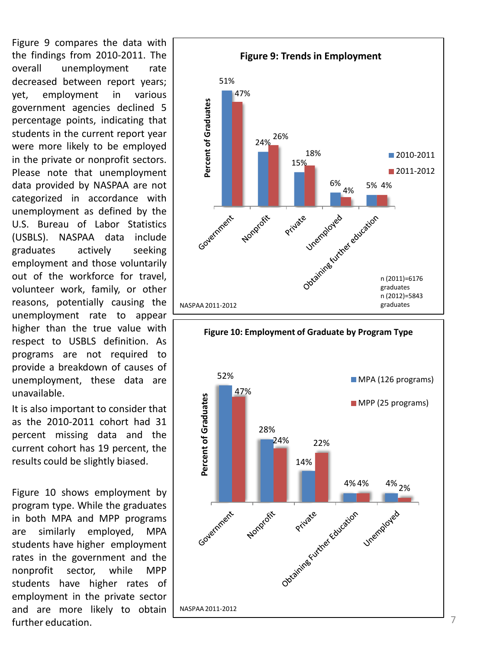Figure 9 compares the data with the findings from 2010-2011. The overall unemployment rate decreased between report years; yet, employment in various government agencies declined 5 percentage points, indicating that students in the current report year were more likely to be employed in the private or nonprofit sectors. Please note that unemployment data provided by NASPAA are not categorized in accordance with unemployment as defined by the U.S. Bureau of Labor Statistics (USBLS). NASPAA data include graduates actively seeking employment and those voluntarily out of the workforce for travel, volunteer work, family, or other reasons, potentially causing the unemployment rate to appear higher than the true value with respect to USBLS definition. As programs are not required to provide a breakdown of causes of unemployment, these data are unavailable.

It is also important to consider that as the 2010-2011 cohort had 31 percent missing data and the current cohort has 19 percent, the results could be slightly biased.

Figure 10 shows employment by program type. While the graduates in both MPA and MPP programs are similarly employed, MPA students have higher employment rates in the government and the nonprofit sector, while MPP students have higher rates of employment in the private sector and are more likely to obtain further education. The contract of the contract of the contract of the contract of the contract of the contract of the contract of the contract of the contract of the contract of the contract of the contract of the contrac



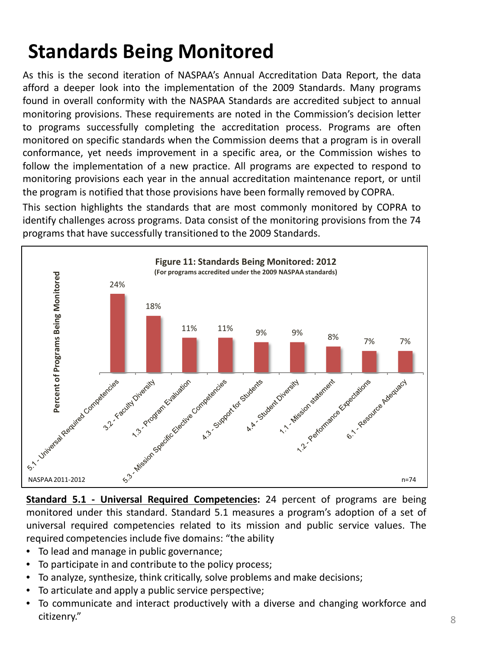# **Standards Being Monitored**

As this is the second iteration of NASPAA's Annual Accreditation Data Report, the data afford a deeper look into the implementation of the 2009 Standards. Many programs found in overall conformity with the NASPAA Standards are accredited subject to annual monitoring provisions. These requirements are noted in the Commission's decision letter to programs successfully completing the accreditation process. Programs are often monitored on specific standards when the Commission deems that a program is in overall conformance, yet needs improvement in a specific area, or the Commission wishes to follow the implementation of a new practice. All programs are expected to respond to monitoring provisions each year in the annual accreditation maintenance report, or until the program is notified that those provisions have been formally removed by COPRA.

This section highlights the standards that are most commonly monitored by COPRA to identify challenges across programs. Data consist of the monitoring provisions from the 74 programs that have successfully transitioned to the 2009 Standards.



monitored under this standard. Standard 5.1 measures a program's adoption of a set of universal required competencies related to its mission and public service values. The required competencies include five domains: "the ability

- To lead and manage in public governance;
- To participate in and contribute to the policy process;
- To analyze, synthesize, think critically, solve problems and make decisions;
- To articulate and apply a public service perspective;
- To communicate and interact productively with a diverse and changing workforce and citizenry."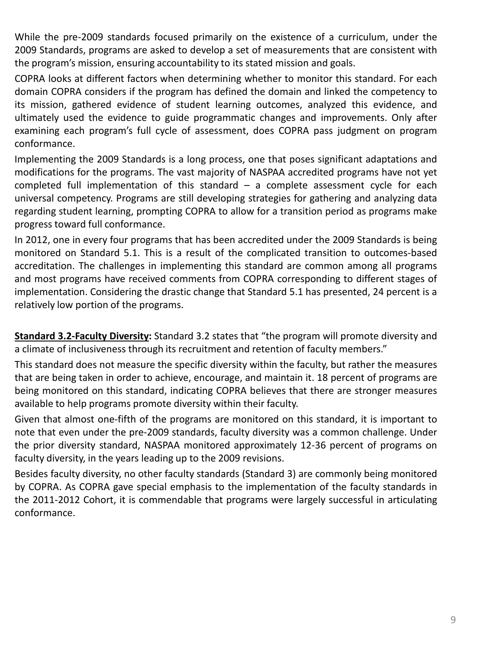While the pre-2009 standards focused primarily on the existence of a curriculum, under the 2009 Standards, programs are asked to develop a set of measurements that are consistent with the program's mission, ensuring accountability to its stated mission and goals.

COPRA looks at different factors when determining whether to monitor this standard. For each domain COPRA considers if the program has defined the domain and linked the competency to its mission, gathered evidence of student learning outcomes, analyzed this evidence, and ultimately used the evidence to guide programmatic changes and improvements. Only after examining each program's full cycle of assessment, does COPRA pass judgment on program conformance.

Implementing the 2009 Standards is a long process, one that poses significant adaptations and modifications for the programs. The vast majority of NASPAA accredited programs have not yet completed full implementation of this standard – a complete assessment cycle for each universal competency. Programs are still developing strategies for gathering and analyzing data regarding student learning, prompting COPRA to allow for a transition period as programs make progress toward full conformance.

In 2012, one in every four programs that has been accredited under the 2009 Standards is being monitored on Standard 5.1. This is a result of the complicated transition to outcomes-based accreditation. The challenges in implementing this standard are common among all programs and most programs have received comments from COPRA corresponding to different stages of implementation. Considering the drastic change that Standard 5.1 has presented, 24 percent is a relatively low portion of the programs.

**Standard 3.2-Faculty Diversity:** Standard 3.2 states that "the program will promote diversity and a climate of inclusiveness through its recruitment and retention of faculty members."

This standard does not measure the specific diversity within the faculty, but rather the measures that are being taken in order to achieve, encourage, and maintain it. 18 percent of programs are being monitored on this standard, indicating COPRA believes that there are stronger measures available to help programs promote diversity within their faculty.

Given that almost one-fifth of the programs are monitored on this standard, it is important to note that even under the pre-2009 standards, faculty diversity was a common challenge. Under the prior diversity standard, NASPAA monitored approximately 12-36 percent of programs on faculty diversity, in the years leading up to the 2009 revisions.

Besides faculty diversity, no other faculty standards (Standard 3) are commonly being monitored by COPRA. As COPRA gave special emphasis to the implementation of the faculty standards in the 2011-2012 Cohort, it is commendable that programs were largely successful in articulating conformance.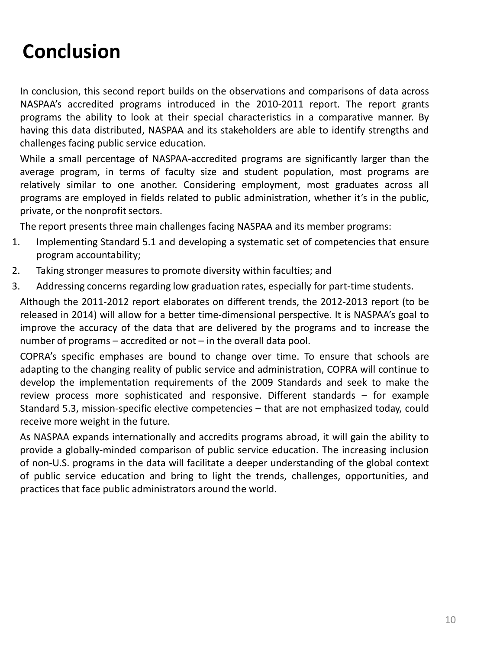# **Conclusion**

In conclusion, this second report builds on the observations and comparisons of data across NASPAA's accredited programs introduced in the 2010-2011 report. The report grants programs the ability to look at their special characteristics in a comparative manner. By having this data distributed, NASPAA and its stakeholders are able to identify strengths and challenges facing public service education.

While a small percentage of NASPAA-accredited programs are significantly larger than the average program, in terms of faculty size and student population, most programs are relatively similar to one another. Considering employment, most graduates across all programs are employed in fields related to public administration, whether it's in the public, private, or the nonprofit sectors.

The report presents three main challenges facing NASPAA and its member programs:

- 1. Implementing Standard 5.1 and developing a systematic set of competencies that ensure program accountability;
- 2. Taking stronger measures to promote diversity within faculties; and
- 3. Addressing concerns regarding low graduation rates, especially for part-time students.

Although the 2011-2012 report elaborates on different trends, the 2012-2013 report (to be released in 2014) will allow for a better time-dimensional perspective. It is NASPAA's goal to improve the accuracy of the data that are delivered by the programs and to increase the number of programs – accredited or not – in the overall data pool.

COPRA's specific emphases are bound to change over time. To ensure that schools are adapting to the changing reality of public service and administration, COPRA will continue to develop the implementation requirements of the 2009 Standards and seek to make the review process more sophisticated and responsive. Different standards – for example Standard 5.3, mission-specific elective competencies – that are not emphasized today, could receive more weight in the future.

As NASPAA expands internationally and accredits programs abroad, it will gain the ability to provide a globally-minded comparison of public service education. The increasing inclusion of non-U.S. programs in the data will facilitate a deeper understanding of the global context of public service education and bring to light the trends, challenges, opportunities, and practices that face public administrators around the world.